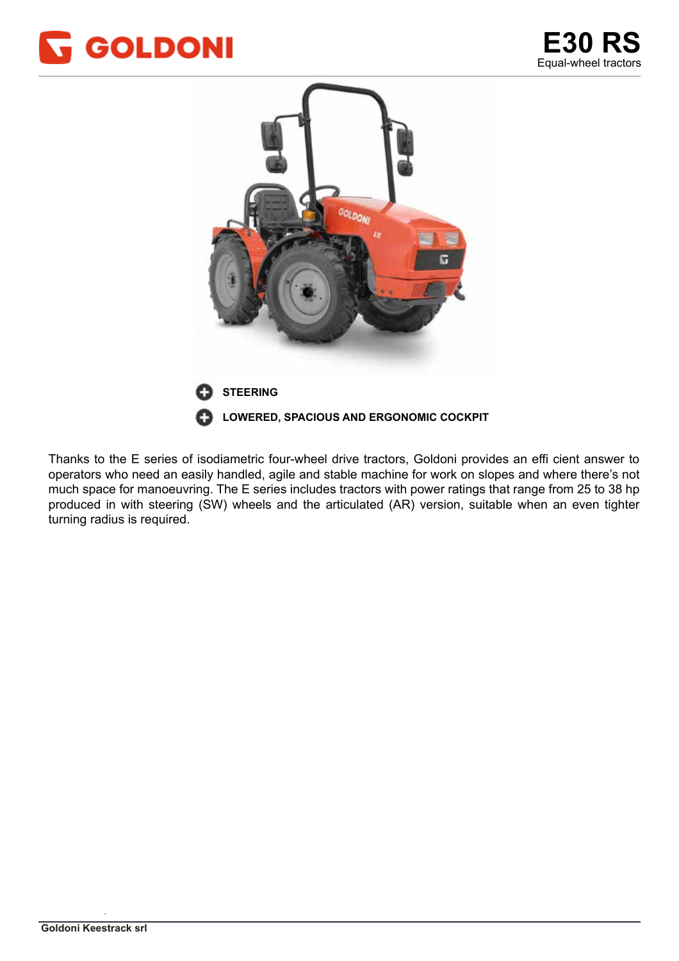



Thanks to the E series of isodiametric four-wheel drive tractors, Goldoni provides an effi cient answer to operators who need an easily handled, agile and stable machine for work on slopes and where there's not much space for manoeuvring. The E series includes tractors with power ratings that range from 25 to 38 hp produced in with steering (SW) wheels and the articulated (AR) version, suitable when an even tighter turning radius is required. The vicino al centro della macchina, consentendo un centro un centro un centro del